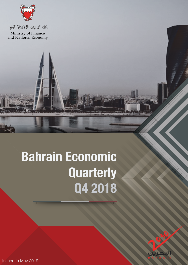

وَذَارَةَ الَّذِالِّيْ يَنَ وَالِاقْتَصَيْانَ الْوَظِيْلِ

Ministry of Finance<br>and National Economy

# **Bahrain Economic Quarterly Q4 2018**

Issued in May 2019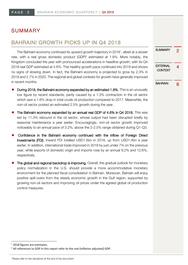# SUMMARY

# BAHRAINI GROWTH PICKS UP IN Q4 2018

The Bahraini economy continued its upward growth trajectory in 2018<sup>1</sup>, albeit at a slower rate, with a real gross domestic product (GDP)<sup>2</sup> estimated at 1.8%. More notably, the Kingdom concluded the year with pronounced accelerations in headline growth, with its Q4 2018 real GDP estimated at 4.6%. This healthy growth pace continued into 2019 and shows no signs of slowing down. In fact, the Bahraini economy is projected to grow by 2.3% in 2019 and 2.7% in 2020. The regional and global contexts for growth have generally improved in recent months.

- During 2018, the Bahraini economy expanded by an estimated 1.8%. This is an unusually low figure by recent standards, partly caused by a 1.3% contraction in the oil sector which saw a 1.6% drop in total crude oil production compared to 2017. Meanwhile, the non-oil sector posted an estimated 2.5% growth during the year.
- The Bahraini economy expanded by an annual real GDP of 4.6% in Q4 2018. This was led by 11.3% rebound in the oil sector, whose output had been disrupted briefly by seasonal maintenance a year earlier. Encouragingly, non-oil sector growth improved noticeably to an annual pace of 3.2%, above the 2-2.5% range obtained during Q1-Q3.
- Confidence in the Bahraini economy continued with the inflow of Foreign Direct Investments (FDI). Inward FDI totalled USD1.5bn in 2018, up from USD1.4bn a year earlier. In addition, international trade improved in 2018 by just under 7% on the previous year, while exports of domestic origin and imports rose by an annual 9.2% and 12.6%, respectively.
- The global and regional backdrop is improving. Overall, the gradual outlook for monetary policy normalization in the U.S. should provide a more accommodative monetary environment for the planned fiscal consolidation in Bahrain. Moreover, Bahrain will enjoy positive spill-overs from the steady economic growth in the Gulf region, supported by growing non-oil sectors and improving oil prices under the agreed global oil production control measures.

1 2018 figures are estimates.

SUMMARY 2 **EXTERNAL** XIERNAL 4<br>CONTEXT BAHRAIN 6

 $2$  All references to GDP in this report refer to the real (inflation adjusted) GDP.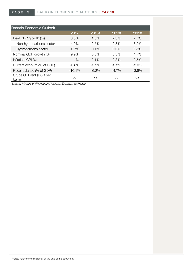| <b>Bahrain Economic Outlook</b>     |          |          |          |         |
|-------------------------------------|----------|----------|----------|---------|
|                                     | 2017     | 2018e    | 2019f    | 2020f   |
| Real GDP growth (%)                 | 3.8%     | 1.8%     | 2.3%     | 2.7%    |
| Non-hydrocarbons sector             | 4.9%     | 2.5%     | 2.8%     | 3.2%    |
| Hydrocarbons sector                 | $-0.7%$  | $-1.3%$  | $0.0\%$  | 0.5%    |
| Nominal GDP growth (%)              | 9.9%     | 6.5%     | 3.3%     | 4.7%    |
| Inflation (CPI %)                   | 1.4%     | 2.1%     | 2.8%     | 2.5%    |
| Current account (% of GDP)          | $-3.8%$  | $-5.9\%$ | $-3.2\%$ | $-2.0%$ |
| Fiscal balance (% of GDP)           | $-10.1%$ | $-6.2\%$ | $-4.7\%$ | $-3.9%$ |
| Crude Oil Brent (USD per<br>barrel) | 53       | 72       | 65       | 62      |

Source: Ministry of Finance and National Economy estimates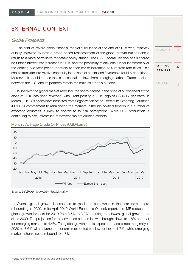# EXTERNAL CONTEXT

## Global Prospects

The stint of severe global financial market turbulence at the end of 2018 was, relatively quickly, followed by both a broad-based reassessment of the global growth outlook and a return to a more permissive monetary policy stance. The U.S. Federal Reserve has signalled no further interest rate increases in 2019 and the possibility of only one further increment over the coming two-year period, contrary to their earlier indication of 4 interest rate hikes. This should translate into relative continuity in the cost of capital and favourable liquidity conditions. Moreover, it should reduce the risk of capital outflows from emerging markets. Trade tensions between the U.S. and its partners remain the main risk to this outlook.

In line with the global market rebound, the sharp decline in the price of oil observed at the close of 2018 has been reversed, with Brent posting a 2019 high of USD68.7 per barrel in March 2019. Oil prices have benefited from Organization of the Petroleum Exporting Countries (OPEC)'s commitment to rebalancing the markets, although political tension in a number of exporting countries is likely to contribute to risk perceptions. While U.S. production is continuing to rise, infrastructure bottlenecks are curbing exports.



#### Monthly Average Crude Oil Prices (USD/barrel)

Overall, global growth is expected to moderate somewhat in the near term before rebounding in 2020. In its April 2019 World Economic Outlook report, the IMF reduced its global growth forecast for 2019 from 3.5% to 3.3%, marking the slowest global growth rate since 2009. The projection for the advanced economies was brought down to 1.8% and that for emerging markets to 4.4%. The global growth rate is expected to accelerate marginally in 2020 to 3.6% with advanced economies expected to slow further to 1.7%, while emerging markets should see a rebound to 4.8%.

Source: US Energy Information Administration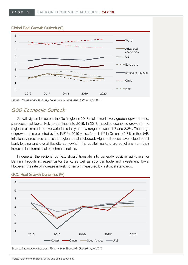#### Global Real Growth Outlook (%)



Source: International Monetary Fund, World Economic Outlook, April 2019

## GCC Economic Outlook

Growth dynamics across the Gulf region in 2018 maintained a very gradual upward trend, a process that looks likely to continue into 2019. In 2018, headline economic growth in the region is estimated to have varied in a fairly narrow range between 1.7 and 2.2%. The range of growth rates projected by the IMF for 2019 varies from 1.1% in Oman to 2.8% in the UAE. Inflationary pressures across the region remain subdued. Higher oil prices have helped boost bank lending and overall liquidity somewhat. The capital markets are benefiting from their inclusion in international benchmark indices.

In general, the regional context should translate into generally positive spill-overs for Bahrain through increased visitor traffic, as well as stronger trade and investment flows. However, the rate of increase is likely to remain measured by historical standards.



#### GCC Real Growth Dynamics (%)

Source: International Monetary Fund, World Economic Outlook, April 2019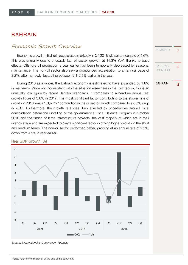# BAHRAIN

## Economic Growth Overview

Economic growth in Bahrain accelerated markedly in Q4 2018 with an annual rate of 4.6%. This was primarily due to unusually fast oil sector growth, at 11.3% YoY, thanks to base effects. Offshore oil production a year earlier had been temporarily depressed by seasonal maintenance. The non-oil sector also saw a pronounced acceleration to an annual pace of 3.2%, after narrowly fluctuating between 2.1-2.5% earlier in the year.

During 2018 as a whole, the Bahraini economy is estimated to have expanded by 1.8% in real terms. While not inconsistent with the situation elsewhere in the Gulf region, this is an unusually low figure by recent Bahraini standards. It compares to a headline annual real growth figure of 3.8% in 2017. The most significant factor contributing to the slower rate of growth in 2018 was a 1.3% YoY contraction in the oil sector, which compared to a 0.7% drop in 2017. Furthermore, the growth rate was likely affected by uncertainties around fiscal consolidation before the unveiling of the government's Fiscal Balance Program in October 2018 and the timing of large infrastructure projects, the vast majority of which are in their infancy stage and are expected to play a significant factor in driving higher growth in the short and medium terms. The non-oil sector performed better, growing at an annual rate of 2.5%, down from 4.9% a year earlier.



#### Real GDP Growth (%)

Source: Information & e-Government Authority

**SUMMARY EXTERNAL CONTEXT** BAHRAIN 6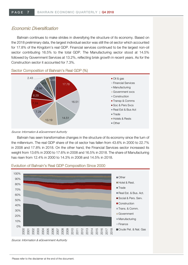## Economic Diversification

Bahrain continues to make strides in diversifying the structure of its economy. Based on the 2018 preliminary data, the largest individual sector was still the oil sector which accounted for 17.8% of the Kingdom's real GDP. Financial services continued to be the largest non-oil sector contributing 16.5% to the total GDP. The Manufacturing sector stood at 14.5% followed by Government Services at 13.2%, reflecting brisk growth in recent years. As for the Construction sector it accounted for 7.3%.



Sector Composition of Bahrain's Real GDP (%)

Source: Information & eGovernment Authority

Bahrain has seen transformative changes in the structure of its economy since the turn of the millennium. The real GDP share of the oil sector has fallen from 43.6% in 2000 to 22.7% in 2008 and 17.8% in 2018. On the other hand, the Financial Services sector increased its weight from 13.6% in 2000 to 17.6% in 2008 and 16.5% in 2018. The share of Manufacturing has risen from 12.4% in 2000 to 14.3% in 2008 and 14.5% in 2018.



#### Evolution of Bahrain's Real GDP Composition Since 2000

Source: Information & eGovernment Authority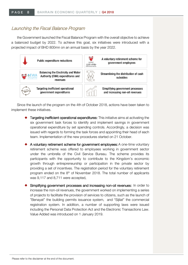## Launching the Fiscal Balance Program

the Government launched the Fiscal Balance Program with the overall objective to achieve a balanced budget by 2022. To achieve this goal, six initiatives were introduced with a projected impact of BHD 800mn on an annual basis by the year 2022.



Since the launch of the program on the 4th of October 2018, actions have been taken to implement these initiatives.

- Targeting inefficient operational expenditures: This initiative aims at activating the six government task forces to identify and implement savings in government operational expenditure by set spending controls. Accordingly, a decision was issued with regards to forming the task forces and appointing their head of each team. Implementation of the new procedures started on 21 October.
- $\blacklozenge$  A voluntary retirement scheme for government employees: A one-time voluntary retirement scheme was offered to employees working in government sector under the umbrella of the Civil Service Bureau. The scheme provides its participants with the opportunity to contribute to the Kingdom's economic growth through entrepreneurship or participation in the private sector by providing a set of incentives. The registration period for the voluntary retirement program ended on the  $8<sup>th</sup>$  of November 2018. The total number of applicants was 9,117 and 8,711 were accepted.
- Simplifying government processes and increasing non-oil revenues: In order to increase the non-oil revenues, the government worked on implementing a series of projects to facilitate the provision of services to citizens, such as the launch of "Benayat" the building permits issuance system, and "Sijilat" the commercial registration system. In addition, a number of supporting laws were issued including the Personal Data Protection Act and the Electronic Transactions Law. Value Added was introduced on 1 January 2019.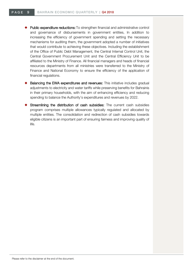- Public expenditure reductions: To strengthen financial and administrative control and governance of disbursements in government entities, In addition to increasing the efficiency of government spending and setting the necessary mechanisms for auditing them, the government adopted a number of initiatives that would contribute to achieving these objectives. Including the establishment of the Office of Public Debt Management, the Central Internal Control Unit, the Central Government Procurement Unit and the Central Efficiency Unit to be affiliated to the Ministry of Finance. All financial managers and heads of financial resources departments from all ministries were transferred to the Ministry of Finance and National Economy to ensure the efficiency of the application of financial regulations.
- **Balancing the EWA expenditures and revenues:** This initiative includes gradual adjustments to electricity and water tariffs while preserving benefits for Bahrainis in their primary households, with the aim of enhancing efficiency and reducing spending to balance the Authority's expenditures and revenues by 2022.
- Streamlining the distribution of cash subsidies: The current cash subsidies program comprises multiple allowances typically regulated and allocated by multiple entities. The consolidation and redirection of cash subsidies towards eligible citizens is an important part of ensuring fairness and improving quality of life.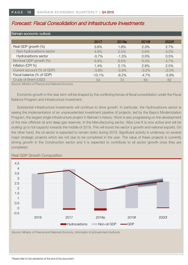# Forecast: Fiscal Consolidation and Infrastructure Investments

| Bahrain economic outlook   |          |         |          |          |  |  |
|----------------------------|----------|---------|----------|----------|--|--|
|                            | 2017     | 2018e   | 2019f    | 2020f    |  |  |
| Real GDP growth (%)        | 3.8%     | 1.8%    | 2.3%     | 2.7%     |  |  |
| Non-hydrocarbons sector    | 4.9%     | 2.5%    | 2.8%     | 3.2%     |  |  |
| Hydrocarbons sector        | $-0.7%$  | $-1.3%$ | $0.0\%$  | 0.5%     |  |  |
| Nominal GDP growth (%)     | 9.9%     | 6.5%    | 3.3%     | 4.7%     |  |  |
| Inflation (CPI %)          | 1.4%     | 2.1%    | 2.8%     | 2.5%     |  |  |
| Current account (% of GDP) | $-3.8%$  | $-5.9%$ | $-3.2\%$ | $-2.0\%$ |  |  |
| Fiscal balance (% of GDP)  | $-10.1%$ | $-6.2%$ | $-4.7%$  | $-3.9%$  |  |  |
| Crude oil Brent (USD)      | 53       | 72      | 65       | 62       |  |  |

Source: Ministry of Finance and National Economy

Economic growth in the near term will be shaped by the conflicting forces of fiscal consolidation under the Fiscal Balance Program and infrastructure investment.

Substantial infrastructure investments will continue to drive growth. In particular, the Hydrocarbons sector is seeing the implementation of an unprecedented investment pipeline of projects, led by the Bapco Modernization Program, the largest single infrastructure project in Bahrain's history. Work is also progressing on the development of the new offshore oil and deep gas reserves. In the Manufacturing sector, Alba Line 6 is now active and will be scaling up to full capacity towards the middle of 2019. This will boost the sector's growth and national exports. On the other hand, the oil sector is expected to remain static during 2019. Significant activity is underway on several major strategic projects which are not due to be completed in the year. The value of these projects is currently driving growth in the Construction sector and it is expected to contribute to oil sector growth once they are completed.



#### Real GDP Growth Composition

Source: Ministry of Finance and National Economy, Information & eGovernment Authority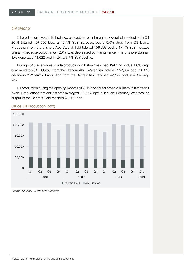## Oil Sector

Oil production levels in Bahrain were steady in recent months. Overall oil production in Q4 2018 totalled 197,990 bpd, a 12.4% YoY increase, but a 0.5% drop from Q3 levels. Production from the offshore Abu Sa'afah field totalled 156,368 bpd, a 17.7% YoY increase primarily because output in Q4 2017 was depressed by maintenance. The onshore Bahrain field generated 41,622 bpd in Q4, a 3.7% YoY decline.

During 2018 as a whole, crude production in Bahrain reached 194,179 bpd, a 1.6% drop compared to 2017. Output from the offshore Abu Sa'afah field totalled 152,057 bpd, a 0.6% decline in YoY terms. Production from the Bahrain field reached 42,122 bpd, a 4.8% drop YoY.

Oil production during the opening months of 2019 continued broadly in line with last year's levels. Production from Abu Sa'afah averaged 153,225 bpd in January-February, whereas the output of the Bahrain Field reached 41,020 bpd.



## Crude Oil Production (bpd)

Source: National Oil and Gas Authority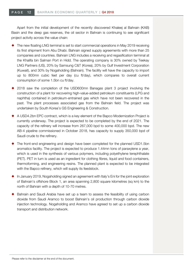Apart from the initial development of the recently discovered Khaleej al Bahrain (KAB) Basin and the deep gas reserves, the oil sector in Bahrain is continuing to see significant project activity across the value chain:

- The new floating LNG terminal is set to start commercial operations in May 2019 receiving its first shipment from Abu Dhabi. Bahrain signed supply agreements with more than 25 companies and countries. Bahrain LNG includes a receiving and regasification terminal at the Khalifa bin Salman Port in Hidd. The operating company is 30% owned by Teekay LNG Partners (US), 20% by Samsung C&T (Korea), 20% by Gulf Investment Corporation (Kuwait), and 30% by Nogaholding (Bahrain). The facility will have the capacity to import up to 800mn cubic feet per day (cu ft/day), which compares to overall current consumption of some 1.5bn cu ft/day.
- 2018 saw the completion of the USD600mn Banagas plant 3 project involving the construction of a plant for recovering high-value-added petroleum constituents (LPG and naphtha) contained in petroleum-entrained gas which have not been recovered in the past. The plant processes associated gas from the Bahrain field. The project was undertaken by South Korea's GS Engineering & Construction.
- A USD4.2bn EPC contract, which is a key element of the Bapco Modernization Project is currently underway. The project is expected to be completed by the end of 2021. The capacity of the refinery will increase from 267,000 bpd to some 400,000 bpd. The new AB-4 pipeline commissioned in October 2018, has capacity to supply 350,000 bpd of Saudi crude to the refinery.
- ¡ The front-end engineering and design have been completed for the planned USD1.5bn aromatics facility. The project is expected to produce 1.44mn tons of paraxylene a year, which is used in the synthesis of various polymers, including polyethylene terephthalate (PET). PET in turn is used as an ingredient for clothing fibres, liquid and food containers, thermoforming, and engineering resins. The planned plant is expected to be integrated with the Bapco refinery, which will supply its feedstock.
- In January 2019, Nogaholding signed an agreement with Italy's Eni for the joint exploration of Bahrain's offshore Block 1, an area spanning 2,800 square kilometres (sq km) to the north of Bahrain with a depth of 10-70 metres.
- Bahrain and Saudi Arabia have set up a team to assess the feasibility of using carbon dioxide from Saudi Aramco to boost Bahrain's oil production through carbon dioxide injection technology. Nogaholding and Aramco have agreed to set up a carbon dioxide transport and distribution network.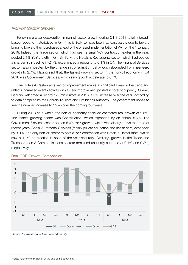## Non-oil Sector Growth

Following a clear deceleration in non-oil sector growth during Q1-3 2018, a fairly broadbased rebound materialized in Q4. This is likely to have been, at least partly, due to buyers bringing forward their purchases ahead of the phased implementation of VAT on the 1 January 2019. Indeed, the Trade sector, which had seen a small YoY contraction earlier in the year, posted 2.1% YoY growth in Q4. Similarly, the Hotels & Restaurants sector, which had posted a sharper YoY decline in Q1-3, experienced a rebound to 6.1% in Q4. The Financial Services sector, also impacted by the change in consumption behaviour, rebounded from near-zero growth to 2.7%. Having said that, the fastest growing sector in the non-oil economy in Q4 2018 was Government Services, which saw growth accelerate to 6.7%.

The Hotels & Restaurants sector improvement marks a significant break in the trend and reflects increased events activity with a clear improvement posted in hotel occupancy. Overall, Bahrain welcomed a record 12.8mn visitors in 2018, a 6% increase over the year, according to data compiled by the Bahrain Tourism and Exhibitions Authority. The government hopes to see the number increase to 15mn over the coming four years.

During 2018 as a whole, the non-oil economy achieved estimated real growth of 2.5%. The fastest growing sector was Construction, which expanded by an annual 5.6%. The Government Services sector posted 5.0% YoY growth, which was clearly above the trend of recent years. Social & Personal Services (mainly private education and health care) expanded by 3.0%. The only non-oil sector to post a YoY contraction was Hotels & Restaurants, which saw a 1.1% contraction in spite of the year-end rally. Similarly, growth in the Trade and Transportation & Communications sectors remained unusually subdued at 0.1% and 0.2%, respectively.



#### Real GDP Growth Composition

Source: Information & eGovernment Authority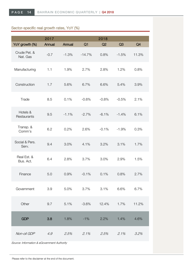# Sector-specific real growth rates, YoY (%)

|                          | 2017   |         |          | 2018    |         |       |
|--------------------------|--------|---------|----------|---------|---------|-------|
| YoY growth (%)           | Annual | Annual  | Q1       | Q2      | Q3      | Q4    |
| Crude Pet. &<br>Nat. Gas | $-0.7$ | $-1.3%$ | $-14.7%$ | 0.8%    | $-1.5%$ | 11.3% |
| Manufacturing            | 1.1    | 1.9%    | 2.7%     | 2.8%    | 1.2%    | 0.8%  |
| Construction             | 1.7    | 5.6%    | 6.7%     | 6.6%    | 5.4%    | 3.9%  |
| Trade                    | 8.5    | 0.1%    | $-0.6%$  | $-0.8%$ | $-0.5%$ | 2.1%  |
| Hotels &<br>Restaurants  | 9.5    | $-1.1%$ | $-2.7%$  | $-6.1%$ | $-1.4%$ | 6.1%  |
| Transp. &<br>Comm's      | 6.2    | 0.2%    | 2.6%     | $-0.1%$ | $-1.9%$ | 0.3%  |
| Social & Pers.<br>Serv.  | 9.4    | 3.0%    | 4.1%     | 3.2%    | 3.1%    | 1.7%  |
| Real Est. &<br>Bus. Act. | 6.4    | 2.8%    | 3.7%     | 3.0%    | 2.9%    | 1.5%  |
| Finance                  | 5.0    | 0.9%    | $-0.1%$  | 0.1%    | 0.8%    | 2.7%  |
| Government               | 3.9    | 5.0%    | 3.7%     | 3.1%    | 6.6%    | 6.7%  |
| Other                    | 9.7    | 5.1%    | $-3.6%$  | 12.4%   | 1.7%    | 11.2% |
| <b>GDP</b>               | 3.8    | 1.8%    | $-1\%$   | 2.2%    | 1.4%    | 4.6%  |
| Non-oil GDP              | 4.9    | 2.5%    | 2.1%     | 2.5%    | 2.1%    | 3.2%  |

Source: Information & eGovernment Authority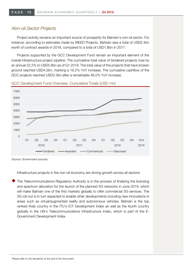## Non-oil Sector Projects

Project activity remains an important source of prosperity for Bahrain's non-oil sector. For instance, according to estimates made by MEED Projects, Bahrain saw a total of USD2.4bn worth of contract awards in 2018, compared to a total of USD1.8bn in 2017.

Projects supported by the GCC Development Fund remain an important element of the overall infrastructure project pipeline. The cumulative total value of tendered projects rose by an annual 22.2% to USD5.9bn as of Q1 2019. The total value of the projects that have broken ground reached USD4.2bn, marking a 16.2% YoY increase. The cumulative cashflow of the GCC projects reached USD2.3bn after a remarkable 48.2% YoY increase.

#### GCC Development Fund Overview, Cumulative Totals (USD mn)



Source: Government sources

Infrastructure projects in the non-oil economy are driving growth across all sectors:

The Telecommunications Regulatory Authority is in the process of finalizing the licensing and spectrum allocation for the launch of the planned 5G networks in June 2019, which will make Bahrain one of the first markets globally to offer commercial 5G services. The 5G roll-out is in turn expected to enable other developments including new innovations in areas such as virtual/augmented reality and autonomous vehicles. Bahrain is the top ranked Arab country in the ITU's ICT Development Index as well as the fourth country globally in the UN's Telecommunications Infrastructure Index, which is part of the E-Government Development Index.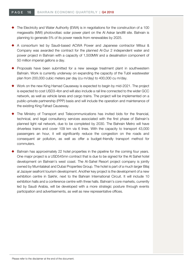- The Electricity and Water Authority (EWA) is in negotiations for the construction of a 100 megawatts (MW) photovoltaic solar power plant on the Al Askar landfill site. Bahrain is planning to generate 5% of its power needs from renewables by 2025.
- ¡ A consortium led by Saudi-based ACWA Power and Japanese contractor Mitsui & Company was awarded the contract for the planned Al-Dur 2 independent water and power project in Bahrain with a capacity of 1,500MW and a desalination component of 50 million imperial gallons a day.
- ¡ Proposals have been submitted for a new sewage treatment plant in southwestern Bahrain. Work is currently underway on expanding the capacity of the Tubli wastewater plan from 200,000 cubic meters per day (cu m/day) to 400,000 cu m/day.
- ¡ Work on the new King Hamad Causeway is expected to begin by mid-2021. The project is expected to cost USD3-4bn and will also include a rail line connected to the wider GCC network, as well as vehicle lanes and cargo trains. The project will be implemented on a public–private partnership (PPP) basis and will include the operation and maintenance of the existing King Fahad Causeway.
- The Ministry of Transport and Telecommunications has invited bids for the financial, technical, and legal consultancy services associated with the first phase of Bahrain's planned light rail network, due to be completed by 2030. The Bahrain Metro will have driverless trains and cover 109 km via 6 lines. With the capacity to transport 43,000 passengers an hour, it will significantly reduce the congestion on the roads and consequent air pollution, as well as offer a budget-friendly transport method for commuters.
- Bahrain has approximately 22 hotel properties in the pipeline for the coming four years. One major project is a USD545mn contract that is due to be signed for the Al Sahel hotel development on Bahrain's west coast. The Al-Sahel Resort project company is jointly owned by Mumtalakat and Dubai Properties Group. The hotel is part of a much larger Bilaj al Jazayer seafront tourism development. Another key project is the development of a new exhibition centre in Sakhir, next to the Bahrain International Circuit. It will include 10 exhibition halls and a conference centre with three halls. Bahrain's core markets, currently led by Saudi Arabia, will be developed with a more strategic posture through events participation and advertisements, as well as new representative offices.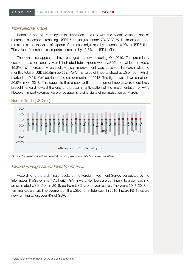## International Trade

Bahrain's non-oil trade dynamics improved in 2018 with the overall value of non-oil merchandise exports reaching USD7.5bn, up just under 7% YoY. While re-export trade remained static, the value of exports of domestic origin rose by an annual 9.2% to USD6.1bn. The value of merchandise imports increased by 12.6% to USD14.9bn.

The dynamics appear to have changed somewhat during Q1 2019. The preliminary customs data for January-March indicated total exports worth USD2.1bn, which marked a 19.3% YoY increase. A particularly clear improvement was observed in March with the monthly total of USD820.5mn up 33% YoY. The value of imports stood at USD1.9bn, which marked a 10.5% YoY decline in the earlier months of 2018. The figure was down a notable 20.9% in Q4 2018. This suggests that a substantial proportion of imports were most likely brought forward toward the end of the year in anticipation of the implementation of VAT. However, import volumes were once again showing signs of normalisation by March.

#### -2000 -1500  $-1000$ -500  $\Omega$ 500 1000 Jan Feb Mar<sub>I</sub>  $Ar$ May Jun Jul Aug<sup>1</sup> Sep **Dct** Nov Dec. Jan Feb<sup>1</sup> Mar I Apr<sub>1</sub> **Nav** Jun Jul Aug Sep Oct<sup>1</sup> Nov Dec<sub>I</sub> Jan I Feb Mar 2017 2018 2019  $\blacksquare$  Re-exports  $\blacksquare$  Exports  $\blacksquare$  Imports

#### Non-oil Trade (USD mn)

Source: Information & eGovernment Authority, preliminary data from Customs Affairs

## Inward Foreign Direct Investment (FDI)

According to the preliminary results of the Foreign Investment Survey conducted by the Information & eGovernment Authority (IGA), inward FDI flows are continuing to grow reaching an estimated USD1.5bn in 2018, up from USD1.4bn a year earlier. The years 2017-2018 in turn marked a sharp improvement on the USD240mn total seen in 2016. Inward FDI flows are now running at just over 4% of GDP.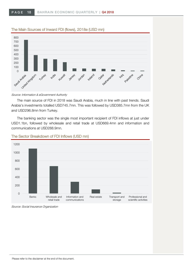

#### Source: Information & eGovernment Authority

The main source of FDI in 2018 was Saudi Arabia, much in line with past trends. Saudi Arabia's investments totalled USD745.7mn. This was followed by USD385.7mn from the UK and USD296.8mn from Turkey.

The banking sector was the single most important recipient of FDI inflows at just under USD1.1bn, followed by wholesale and retail trade at USD669.4mn and information and communications at USD288.9mn.



## The Sector Breakdown of FDI Inflows (USD mn)

Source: Social Insurance Organization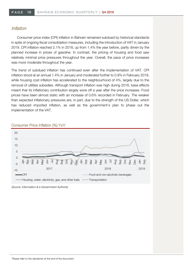## Inflation

Consumer price index (CPI) inflation in Bahrain remained subdued by historical standards in spite of ongoing fiscal consolidation measures, including the introduction of VAT in January 2019. CPI inflation reached 2.1% in 2018, up from 1.4% the year before, partly driven by the planned increase in prices of gasoline. In contrast, the pricing of housing and food saw relatively minimal price pressures throughout the year. Overall, the pace of price increases was more moderate throughout the year.

The trend of subdued inflation has continued even after the implementation of VAT. CPI inflation stood at an annual 1.4% in January and moderated further to 0.9% in February 2019, while housing cost inflation has accelerated to the neighbourhood of 4%, largely due to the removal of utilities subsidies. Although transport inflation was high during 2018, base effects meant that its inflationary contribution largely wore off a year after the price increases. Food prices have been almost static with an increase of 0.6% recorded in February. The weaker than expected inflationary pressures are, in part, due to the strength of the US Dollar, which has reduced imported inflation, as well as the government's plan to phase out the implementation of the VAT.



#### Consumer Price Inflation (%) YoY

Source: Information & e-Government Authority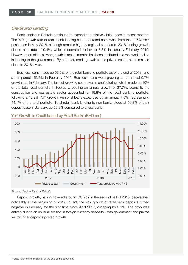## Credit and Lending

Bank lending in Bahrain continued to expand at a relatively brisk pace in recent months. The YoY growth rate of retail bank lending has moderated somewhat from the 11.5% YoY peak seen in May 2018, although remains high by regional standards. 2018 lending growth closed at a rate of 9.4%, which moderated further to 7.3% in January-February 2019. However, part of the slower growth in recent months has been attributed to a renewed decline in lending to the government. By contrast, credit growth to the private sector has remained close to 2018 levels.

Business loans made up 53.5% of the retail banking portfolio as of the end of 2018, and a comparable 53.6% in February 2019. Business loans were growing at an annual 9.7% growth rate in February. The fastest-growing sector was manufacturing, which made up 10% of the total retail portfolio in February, posting an annual growth of 27.7%. Loans to the construction and real estate sector accounted for 19.8% of the retail banking portfolio, following a 12.2% YoY growth. Personal loans expanded by an annual 7.5%, representing 44.1% of the total portfolio. Total retail bank lending to non-banks stood at 56.3% of their deposit base in January, up 50.8% compared to a year earlier.



YoY Growth in Credit Issued by Retail Banks (BHD mn)

Deposit growth, having hovered around 5% YoY in the second half of 2018, decelerated noticeably at the beginning of 2019. In fact, the YoY growth of retail bank deposits turned negative in February for the first time since April 2017, dropping by 3.1%. The drop was entirely due to an unusual erosion in foreign currency deposits. Both government and private sector Dinar deposits posted growth.

Source: Central Bank of Bahrain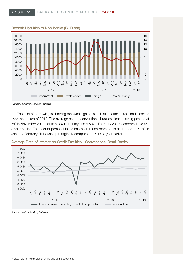

The cost of borrowing is showing renewed signs of stabilisation after a sustained increase over the course of 2018. The average cost of conventional business loans having peaked at 7% in November 2018, fell to 6.3% in January and 6.5% in February 2019, compared to 5.9% a year earlier. The cost of personal loans has been much more static and stood at 5.3% in January-February. This was up marginally compared to 5.1% a year earlier.



Average Rate of Interest on Credit Facilities - Conventional Retail Banks

*Source: Central Bank of Bahrain*

Source: Central Bank of Bahrain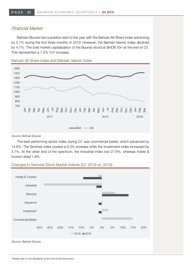## Financial Market

Bahrain Bourse had a positive start to the year with the Bahrain All-Share Index advancing by 5.7% during the first three months of 2019. However, the Bahrain Islamic Index declined by 4.7%. The total market capitalization of the Bourse stood at BHD8.7bn at the end of Q1. This represented a 7.2% YoY increase.



Bahrain All Share Index and Bahrain Islamic Index

#### Source: Bahrain Bourse

The best performing sector index during Q1 was commercial banks, which advanced by 14.8%. The Services index posted a 6.3% increase while the Investment index increased by 3.1%. At the other end of the spectrum, the Industrial index lost 27.8%, whereas hotels & tourism shed 1.8%.



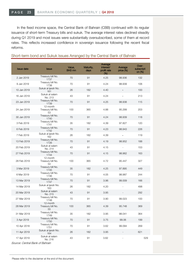In the fixed income space, the Central Bank of Bahrain (CBB) continued with its regular issuance of short-term Treasury bills and sukuk. The average interest rates declined steadily during Q1 2019 and most issues were substantially oversubscribed, some of them at record rates. This reflects increased confidence in sovereign issuance following the recent fiscal reforms.

#### Short-term bond and Sukuk Issues Arranged by the Central Bank of Bahrain

| <b>Issue date</b> | <b>Issue</b>                        | Value,<br>BHD mn | Maturity,<br>days | Average<br>interest/<br>profit rate<br>(% ) | Average<br>price (%) | Over-<br>subscripti<br>on $(\%)$ |
|-------------------|-------------------------------------|------------------|-------------------|---------------------------------------------|----------------------|----------------------------------|
| 2 Jan 2019        | Treasury bill No.<br>1737           | 70               | 91                | 4.25                                        | 98.936               | 132                              |
| 9 Jan 2019        | Treasury bill No.<br>1738           | 70               | 91                | 4.24                                        | 98.939               | 106                              |
| 10 Jan 2019       | Sukuk al ijarah No.<br>161          | 26               | 182               | 4.40                                        |                      | 100                              |
| 16 Jan 2019       | Sukuk al salam<br>No. 213           | 43               | 91                | 4.24                                        |                      | 213                              |
| 23 Jan 2019       | Treasury bill No.<br>1739           | 70               | 91                | 4.25                                        | 98.938               | 115                              |
| 24 Jan 2019       | 12-month<br>Treasury bill No.<br>53 | 100              | 365               | 4.88                                        | 95.299               | 203                              |
| 30 Jan 2019       | Treasury bill No.<br>1740           | 70               | 91                | 4.24                                        | 98.939               | 118                              |
| 3 Feb 2019        | Treasury bill No.<br>1741           | 35               | 182               | 4.39                                        | 97.827               | 120                              |
| 6 Feb 2019        | Treasury bill No.<br>1742           | 70               | 91                | 4.23                                        | 98.943               | 226                              |
| 7 Feb 2019        | Sukuk al ijarah No.<br>162          | 26               | 182               | 4.39                                        |                      | 119                              |
| 13 Feb 2019       | Treasury bill No.<br>1726           | 70               | 91                | 4.19                                        | 98.952               | 188                              |
| 20 Feb 2019       | Sukuk al salam<br>No. 214           | 43               | 91                | 4.15                                        | $\Box$               | 153                              |
| 27 Feb 2019       | Treasury bill No.<br>1744           | 70               | 91                | 4.15                                        | 98.962               | 163                              |
| 28 Feb 2019       | 12-month<br>Treasury bill No.<br>54 | 100              | 365               | 4.72                                        | 95.447               | 327                              |
| 3 Mar 2019        | Treasury bill No.<br>1745           | 35               | 182               | 4.25                                        | 97.895               | 449                              |
| 6 Mar 2019        | Treasury bill No.<br>1746           | 70               | 91                | 4.05                                        | 98.987               | 244                              |
| 13 Mar 2019       | Treasury bill No.<br>1747           | 70               | 91                | 3.96                                        | 99,009               | 166                              |
| 14 Mar 2019       | Sukuk al ijarah No.<br>163          | 26               | 182               | 4.20                                        |                      | 498                              |
| 20 Mar 2019       | Sukuk al salam<br>No. 215           | 43               | 91                | 3.95                                        |                      | 292                              |
| 27 Mar 2019       | Treasury bill No.<br>1748           | 70               | 91                | 3.90                                        | 99.023               | 100                              |
| 28 Mar 2019       | 12-month<br>Treasury bill No.<br>55 | 100              | 365               | 4.39                                        | 95.748               | 369                              |
| 31 Mar 2019       | Treasury bill No.<br>1749           | 35               | 182               | 3.95                                        | 98.041               | 364                              |
| 3 Apr 2019        | Treasury bill No.<br>1750           | 70               | 91                | 3.75                                        | 99.06                | 199                              |
| 10 Apr 2018       | Treasury bill No.<br>1751           | 70               | 91                | 3.62                                        | 99.094               | 269                              |
| 11 Apr 2019       | Sukuk al ijarah No.<br>164          | 26               | 182               | 3.95                                        |                      | 621                              |
| 17 Apr 2019       | Sukuk al salam<br>No. 216           | 43               | 91                | 3.62                                        |                      | 529                              |

Source: Central Bank of Bahrain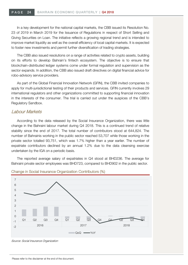In a key development for the national capital markets, the CBB issued its Resolution No. 23 of 2019 in March 2019 for the Issuance of Regulations in respect of Short Selling and Giving Securities on Loan. The initiative reflects a growing regional trend and is intended to improve market liquidity as well as the overall efficiency of local capital markets. It is expected to foster new investments and permit further diversification of trading strategies.

The CBB also issued resolutions on a range of activities related to crypto assets, building on its efforts to develop Bahrain's fintech ecosystem. The objective is to ensure that blockchain-distributed ledger systems come under formal regulation and supervision as the sector expands. In addition, the CBB also issued draft directives on digital financial advice for robo-advisory service providers.

As part of the Global Financial Innovation Network (GFIN), the CBB invited companies to apply for multi-jurisdictional testing of their products and services. GFIN currently involves 29 international regulators and other organizations committed to supporting financial innovation in the interests of the consumer. The trial is carried out under the auspices of the CBB's Regulatory Sandbox.

## Labour Markets

According to the data released by the Social Insurance Organization, there was little change in the Bahraini labour market during Q4 2018. This is a continued trend of relative stability since the end of 2017. The total number of contributors stood at 644,824. The number of Bahrainis working in the public sector reached 53,707 while those working in the private sector totalled 93,751, which was 1.7% higher than a year earlier. The number of expatriate contributors declined by an annual 1.2% due to the data cleansing exercise undertaken by the IGA on a periodic basis.

The reported average salary of expatriates in Q4 stood at BHD236. The average for Bahraini private sector employees was BHD723, compared to BHD902 in the public sector.



#### Change in Social Insurance Organization Contributors (%)

Source: Social Insurance Organization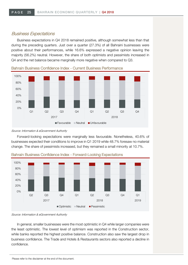## Business Expectations

Business expectations in Q4 2018 remained positive, although somewhat less than that during the preceding quarters. Just over a quarter (27.3%) of all Bahraini businesses were positive about their performances, while 16.6% expressed a negative opinion leaving the majority (56.2%) neutral. However, the share of both optimists and pessimists increased in Q4 and the net balance became marginally more negative when compared to Q3.



Bahrain Business Confidence Index - Current Business Performance

Forward-looking expectations were marginally less favourable. Nonetheless, 40.6% of businesses expected their conditions to improve in Q1 2019 while 48.7% foresaw no material change. The share of pessimists increased, but they remained a small minority at 10.7%.



Bahrain Business Confidence Index - Forward-Looking Expectations

Source: Information & eGovernment Authority

In general, smaller businesses were the most optimistic in Q4 while larger companies were the least optimistic. The lowest level of optimism was reported in the Construction sector, while banks reported the highest positive balance. Construction also saw the largest drop in business confidence. The Trade and Hotels & Restaurants sectors also reported a decline in confidence.

Source: Information & eGovernment Authority